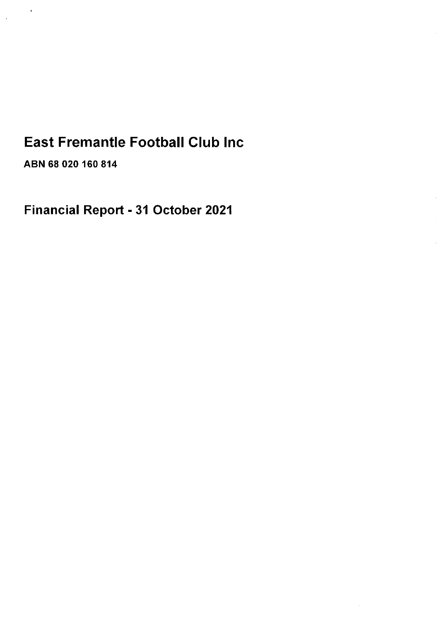# **East Fremantle Football Club Inc**

ABN 68 020 160 814

 $\sim$   $\alpha$ 

 $\mathcal{L}_{\mathbf{A}}$  .

Financial Report - 31 October 2021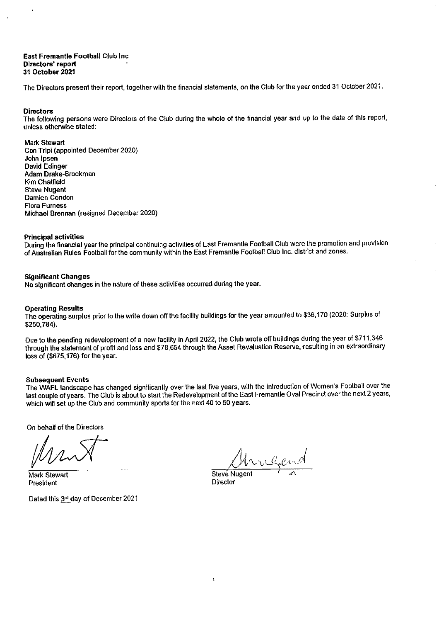#### **East Fremantle Football Club Inc.** Directors' report 31 October 2021

The Directors present their report, together with the financial statements, on the Club for the year ended 31 October 2021.

#### **Directors**

The following persons were Directors of the Club during the whole of the financial year and up to the date of this report, unless otherwise stated:

**Mark Stewart** Con Tripi (appointed December 2020) John Ipsen David Edinger Adam Drake-Brockman Kim Chatfield **Steve Nugent** Damien Condon **Flora Furness** Michael Brennan (resigned December 2020)

#### **Principal activities**

During the financial year the principal continuing activities of East Fremantle Football Club were the promotion and provision of Australian Rules Football for the community within the East Fremantle Football Club Inc. district and zones.

#### **Significant Changes**

No significant changes in the nature of these activities occurred during the year.

#### **Operating Results**

The operating surplus prior to the write down off the facility buildings for the year amounted to \$36,170 (2020: Surplus of \$250,784).

Due to the pending redevelopment of a new facility in April 2022, the Club wrote off buildings during the year of \$711,346 through the statement of profit and loss and \$78,654 through the Asset Revaluation Reserve, resulting in an extraordinary loss of (\$675,176) for the year.

#### **Subsequent Events**

The WAFL landscape has changed significantly over the last five years, with the introduction of Women's Football over the last couple of years. The Club is about to start the Redevelopment of the East Fremantle Oval Precinct over the next 2 years, which will set up the Club and community sports for the next 40 to 50 years.

f,

On behalf of the Directors

**Mark Stewart** President

Dated this 3rd day of December 2021

rilend

Steve Nugent Director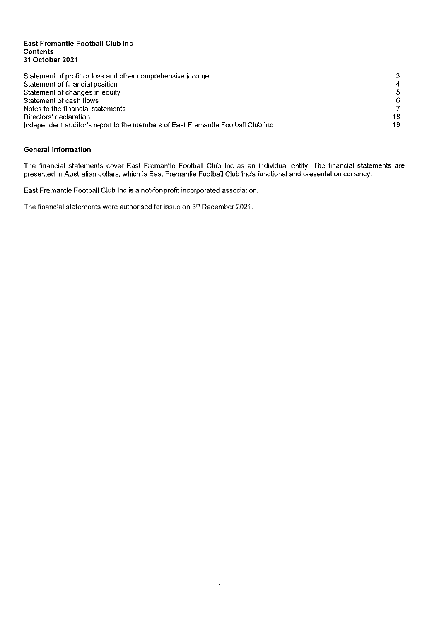#### **East Fremantle Football Club Inc Contents** 31 October 2021

| Statement of profit or loss and other comprehensive income                      | 3  |
|---------------------------------------------------------------------------------|----|
| Statement of financial position                                                 | 4  |
| Statement of changes in equity                                                  | 5  |
| Statement of cash flows                                                         | 6  |
| Notes to the financial statements                                               |    |
| Directors' declaration                                                          | 18 |
| Independent auditor's report to the members of East Fremantle Football Club Inc | 19 |
|                                                                                 |    |

### **General information**

The financial statements cover East Fremantle Football Club Inc as an individual entity. The financial statements are presented in Australian dollars, which is East Fremantle Football Club Inc's functional and presentation currency.

East Fremantle Football Club Inc is a not-for-profit incorporated association.

The financial statements were authorised for issue on 3rd December 2021.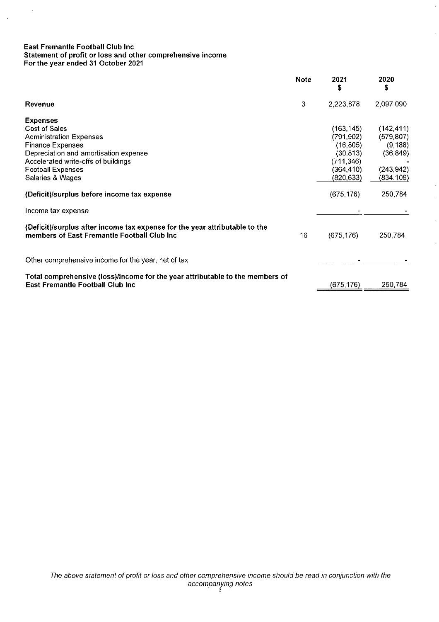# **East Fremantle Football Club Inc** Statement of profit or loss and other comprehensive income<br>For the year ended 31 October 2021

 $\bar{\mathcal{A}}$ 

 $\mathcal{A}$ 

|                                                                                                                            | <b>Note</b> | 2021<br>\$ | 2020<br>\$ |
|----------------------------------------------------------------------------------------------------------------------------|-------------|------------|------------|
| Revenue                                                                                                                    | 3           | 2,223,878  | 2,097,090  |
| <b>Expenses</b>                                                                                                            |             |            |            |
| Cost of Sales                                                                                                              |             | (163, 145) | (142, 411) |
| <b>Administration Expenses</b>                                                                                             |             | (791, 902) | (579, 807) |
| <b>Finance Expenses</b>                                                                                                    |             | (16, 805)  | (9, 188)   |
| Depreciation and amortisation expense                                                                                      |             | (30, 813)  | (36, 849)  |
| Accelerated write-offs of buildings                                                                                        |             | (711, 346) |            |
| <b>Football Expenses</b>                                                                                                   |             | (364, 410) | (243, 942) |
| Salaries & Wages                                                                                                           |             | (820, 633) | (834, 109) |
| (Deficit)/surplus before income tax expense                                                                                |             | (675, 176) | 250,784    |
| Income tax expense                                                                                                         |             |            |            |
| (Deficit)/surplus after income tax expense for the year attributable to the<br>members of East Fremantle Football Club Inc | 16          | (675, 176) | 250,784    |
| Other comprehensive income for the year, net of tax                                                                        |             |            |            |
| Total comprehensive (loss)/income for the year attributable to the members of<br><b>East Fremantle Football Club Inc</b>   |             | (675,176)  | 250,784    |

 $\hat{\mathcal{A}}$ 

 $\mathcal{L}$ 

 $\bar{z}$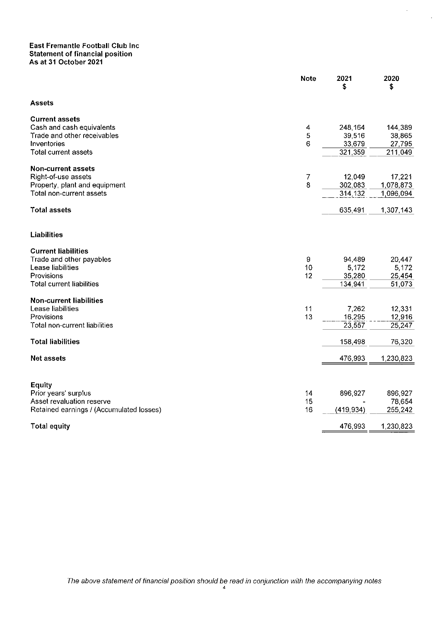# East Fremantle Football Club Inc Statement of financial position<br>As at 31 October 2021

|                                          | <b>Note</b> | 2021<br>\$ | 2020<br>\$ |
|------------------------------------------|-------------|------------|------------|
| <b>Assets</b>                            |             |            |            |
| <b>Current assets</b>                    |             |            |            |
| Cash and cash equivalents                | 4           | 248,164    | 144,389    |
| Trade and other receivables              | 5           | 39,516     | 38,865     |
| Inventories                              | 6           | 33,679     | 27,795     |
| <b>Total current assets</b>              |             | 321,359    | 211 049    |
| <b>Non-current assets</b>                |             |            |            |
| Right-of-use assets                      | 7           | 12,049     | 17,221     |
| Property, plant and equipment            | 8           | 302,083    | 1,078,873  |
| Total non-current assets                 |             | 314,132    | 1,096,094  |
| <b>Total assets</b>                      |             | 635,491    | 1,307,143  |
| <b>Liabilities</b>                       |             |            |            |
| <b>Current liabilities</b>               |             |            |            |
| Trade and other payables                 | 9           | 94,489     | 20,447     |
| Lease liabilities                        | 10          | 5,172      | 5.172      |
| Provisions                               | 12          | 35,280     | 25,454     |
| <b>Total current liabilities</b>         |             | 134.941    | 51,073     |
| <b>Non-current liabilities</b>           |             |            |            |
| Lease liabilities                        | 11          | 7,262      | 12,331     |
| Provisions                               | 13          | 16,295     | 12,916     |
| Total non-current liabilities            |             | 23,557     | 25,247     |
| <b>Total liabilities</b>                 |             | 158,498    | 76,320     |
| <b>Net assets</b>                        |             | 476,993    | 1,230,823  |
|                                          |             |            |            |
| <b>Equity</b>                            |             |            |            |
| Prior years' surplus                     | 14          | 896,927    | 896,927    |
| Asset revaluation reserve                | 15          |            | 78,654     |
| Retained earnings / (Accumulated losses) | 16          | (419, 934) | 255,242    |
| <b>Total equity</b>                      |             | 476,993    | 1,230,823  |

 $\hat{\mathcal{A}}$ 

 $\hat{\mathcal{L}}$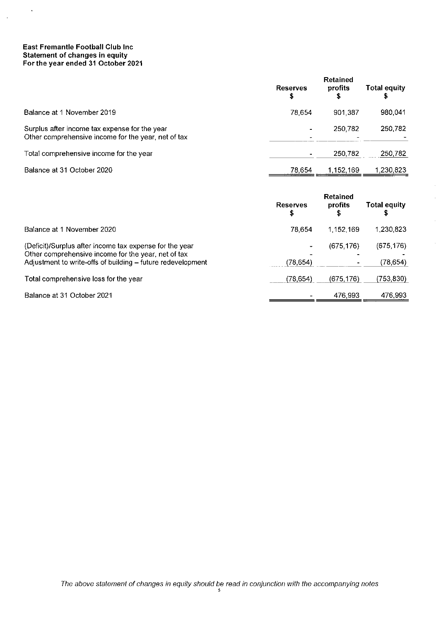# East Fremantle Football Club Inc Statement of changes in equity<br>For the year ended 31 October 2021

 $\bar{\phantom{a}}$ 

 $\bar{z}$ 

|                                                                                                      | <b>Reserves</b><br>S | <b>Retained</b><br>profits | <b>Total equity</b> |
|------------------------------------------------------------------------------------------------------|----------------------|----------------------------|---------------------|
| Balance at 1 November 2019                                                                           | 78.654               | 901.387                    | 980,041             |
| Surplus after income tax expense for the year<br>Other comprehensive income for the year, net of tax |                      | 250,782                    | 250,782             |
| Total comprehensive income for the year                                                              |                      | 250,782                    | 250,782             |
| Balance at 31 October 2020                                                                           | 78,654               | 1.152.169                  | 1,230,823           |

|                                                                                                                                                                               | <b>Reserves</b><br>\$ | <b>Retained</b><br>profits | <b>Total equity</b>    |
|-------------------------------------------------------------------------------------------------------------------------------------------------------------------------------|-----------------------|----------------------------|------------------------|
| Balance at 1 November 2020                                                                                                                                                    | 78.654                | 1.152.169                  | 1,230,823              |
| (Deficit)/Surplus after income tax expense for the year<br>Other comprehensive income for the year, net of tax<br>Adjustment to write-offs of building – future redevelopment | (78.654)              | (675.176)                  | (675.176)<br>(78, 654) |
| Total comprehensive loss for the year                                                                                                                                         | (78.654)              | (675.176)                  | (753,830)              |
| Balance at 31 October 2021                                                                                                                                                    |                       | 476.993                    | 476,993                |

 $\hat{\mathcal{A}}$ 

 $\bar{z}$ 

J.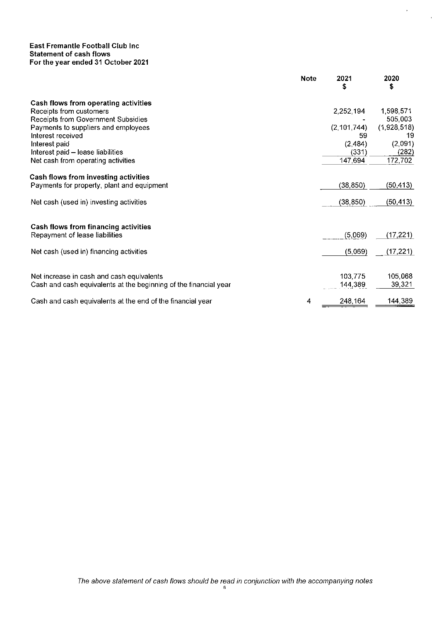#### East Fremantle Football Club Inc **Statement of cash flows** For the year ended 31 October 2021

|                                                                  | <b>Note</b> | 2021<br>s     | 2020<br>s   |
|------------------------------------------------------------------|-------------|---------------|-------------|
| Cash flows from operating activities                             |             |               |             |
| Receipts from customers                                          |             | 2,252,194     | 1,598,571   |
| Receipts from Government Subsidies                               |             |               | 505,003     |
| Payments to suppliers and employees                              |             | (2, 101, 744) | (1,928,518) |
| Interest received                                                |             | 59            | 19          |
| Interest paid                                                    |             | (2,484)       | (2,091)     |
| Interest paid - lease liabilities                                |             | (331)         | (282)       |
| Net cash from operating activities                               |             | 147,694       | 172,702     |
| Cash flows from investing activities                             |             |               |             |
| Payments for property, plant and equipment                       |             | (38, 850)     | (50, 413)   |
| Net cash (used in) investing activities                          |             | (38, 850)     | (50, 413)   |
|                                                                  |             |               |             |
| Cash flows from financing activities                             |             |               |             |
| Repayment of lease liabilities                                   |             | (5,069)       | (17,221)    |
| Net cash (used in) financing activities                          |             | (5,069)       | (17, 221)   |
|                                                                  |             |               |             |
| Net increase in cash and cash equivalents                        |             | 103,775       | 105,068     |
| Cash and cash equivalents at the beginning of the financial year |             | 144,389       | 39,321      |
| Cash and cash equivalents at the end of the financial year       | 4           | 248,164       | 144,389     |
|                                                                  |             |               |             |

 $\mathcal{A}^{\text{max}}$ 

 $\hat{\mathbf{r}}$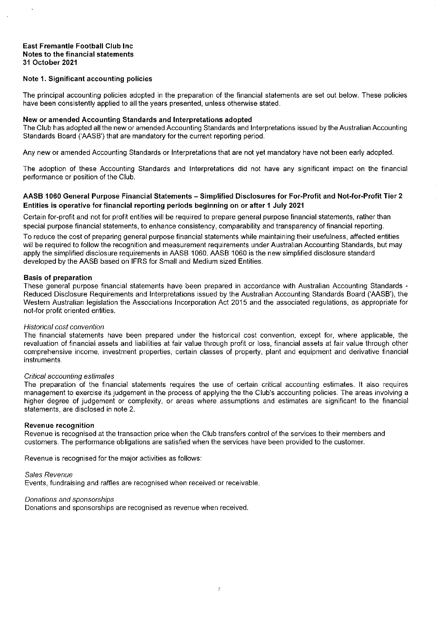#### Note 1. Significant accounting policies

The principal accounting policies adopted in the preparation of the financial statements are set out below. These policies have been consistently applied to all the years presented, unless otherwise stated.

#### New or amended Accounting Standards and Interpretations adopted

The Club has adopted all the new or amended Accounting Standards and Interpretations issued by the Australian Accounting Standards Board ('AASB') that are mandatory for the current reporting period.

Any new or amended Accounting Standards or Interpretations that are not vet mandatory have not been early adopted.

The adoption of these Accounting Standards and Interpretations did not have any significant impact on the financial performance or position of the Club.

#### AASB 1060 General Purpose Financial Statements - Simplified Disclosures for For-Profit and Not-for-Profit Tier 2 Entities is operative for financial reporting periods beginning on or after 1 July 2021

Certain for-profit and not for profit entities will be required to prepare general purpose financial statements, rather than special purpose financial statements, to enhance consistency, comparability and transparency of financial reporting.

To reduce the cost of preparing general purpose financial statements while maintaining their usefulness, affected entities will be required to follow the recognition and measurement requirements under Australian Accounting Standards, but may apply the simplified disclosure requirements in AASB 1060, AASB 1060 is the new simplified disclosure standard developed by the AASB based on IFRS for Small and Medium sized Entities.

#### **Basis of preparation**

These general purpose financial statements have been prepared in accordance with Australian Accounting Standards -Reduced Disclosure Requirements and Interpretations issued by the Australian Accounting Standards Board ('AASB'), the Western Australian legislation the Associations Incorporation Act 2015 and the associated regulations, as appropriate for not-for profit oriented entities.

#### Historical cost convention

The financial statements have been prepared under the historical cost convention, except for, where applicable, the revaluation of financial assets and liabilities at fair value through profit or loss, financial assets at fair value through other comprehensive income, investment properties, certain classes of property, plant and equipment and derivative financial instruments.

#### Critical accounting estimates

The preparation of the financial statements requires the use of certain critical accounting estimates. It also requires management to exercise its judgement in the process of applying the the Club's accounting policies. The areas involving a higher degree of judgement or complexity, or areas where assumptions and estimates are significant to the financial statements, are disclosed in note 2.

#### **Revenue recognition**

Revenue is recognised at the transaction price when the Club transfers control of the services to their members and customers. The performance obligations are satisfied when the services have been provided to the customer.

Revenue is recognised for the major activities as follows:

Sales Revenue

Events, fundraising and raffles are recognised when received or receivable.

#### Donations and sponsorships

Donations and sponsorships are recognised as revenue when received.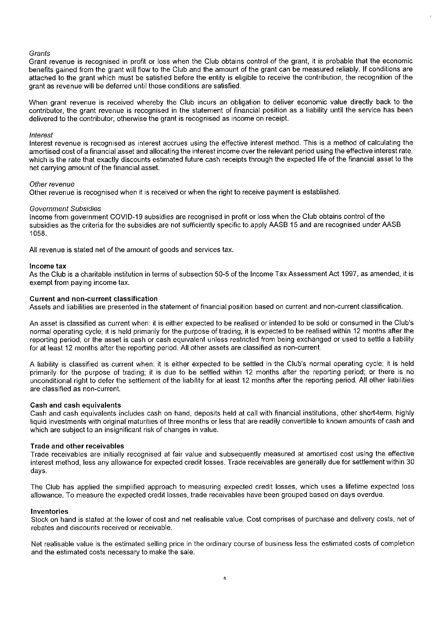#### Grants

Grant revenue is recognised in profit or loss when the Club obtains control of the grant, it is probable that the economic benefits gained from the grant will flow to the Club and the amount of the grant can be measured reliably. If conditions are attached to the grant which must be satisfied before the entity is eligible to receive the contribution, the recognition of the grant as revenue will be deferred until those conditions are satisfied.

When grant revenue is received whereby the Club incurs an obligation to deliver economic value directly back to the contributor, the grant revenue is recognised in the statement of financial position as a liability until the service has been delivered to the contributor; otherwise the grant is recognised as income on receipt.

#### Interest

Interest revenue is recognised as interest accrues using the effective interest method. This is a method of calculating the amortised cost of a financial asset and allocating the interest income over the relevant period using the effective interest rate. which is the rate that exactly discounts estimated future cash receipts through the expected life of the financial asset to the net carrying amount of the financial asset.

#### Other revenue

Other revenue is recognised when it is received or when the right to receive payment is established.

#### **Government Subsidies**

Income from government COVID-19 subsidies are recognised in profit or loss when the Club obtains control of the subsidies as the criteria for the subsidies are not sufficiently specific to apply AASB 15 and are recognised under AASB 1058

All revenue is stated net of the amount of goods and services tax.

#### Income tax

As the Club is a charitable institution in terms of subsection 50-5 of the Income Tax Assessment Act 1997, as amended, it is exempt from paying income tax.

#### **Current and non-current classification**

Assets and liabilities are presented in the statement of financial position based on current and non-current classification.

An asset is classified as current when: it is either expected to be realised or intended to be sold or consumed in the Club's normal operating cycle; it is held primarily for the purpose of trading; it is expected to be realised within 12 months after the reporting period, or the asset is cash or cash equivalent unless restricted from being exchanged or used to settle a liability for at least 12 months after the reporting period. All other assets are classified as non-current.

A liability is classified as current when: it is either expected to be settled in the Club's normal operating cycle; it is held primarily for the purpose of trading; it is due to be settled within 12 months after the reporting period; or there is no unconditional right to defer the settlement of the liability for at least 12 months after the reporting period. All other liabilities are classified as non-current.

#### Cash and cash equivalents

Cash and cash equivalents includes cash on hand, deposits held at call with financial institutions, other short-term, highly liquid investments with original maturities of three months or less that are readily convertible to known amounts of cash and which are subject to an insignificant risk of changes in value.

#### Trade and other receivables

Trade receivables are initially recognised at fair value and subsequently measured at amortised cost using the effective interest method, less any allowance for expected credit losses. Trade receivables are generally due for settlement within 30 days.

The Club has applied the simplified approach to measuring expected credit losses, which uses a lifetime expected loss allowance. To measure the expected credit losses, trade receivables have been grouped based on days overdue.

#### Inventories

Stock on hand is stated at the lower of cost and net realisable value. Cost comprises of purchase and delivery costs, net of rebates and discounts received or receivable.

Net realisable value is the estimated selling price in the ordinary course of business less the estimated costs of completion and the estimated costs necessary to make the sale.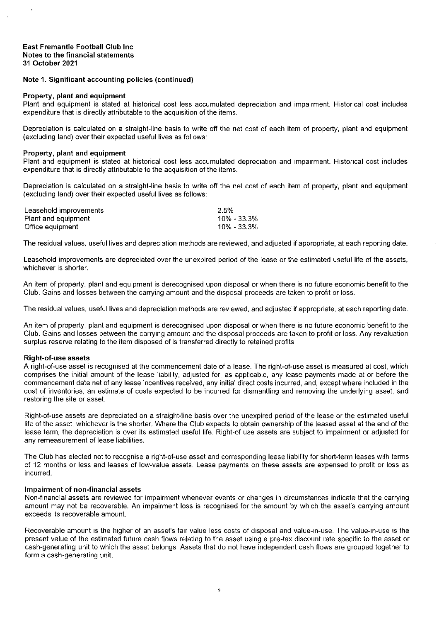Note 1. Significant accounting policies (continued)

#### Property, plant and equipment

Plant and equipment is stated at historical cost less accumulated depreciation and impairment. Historical cost includes expenditure that is directly attributable to the acquisition of the items.

Depreciation is calculated on a straight-line basis to write off the net cost of each item of property, plant and equipment (excluding land) over their expected useful lives as follows:

#### Property, plant and equipment

Plant and equipment is stated at historical cost less accumulated depreciation and impairment. Historical cost includes expenditure that is directly attributable to the acquisition of the items.

Depreciation is calculated on a straight-line basis to write off the net cost of each item of property, plant and equipment (excluding land) over their expected useful lives as follows:

| Leasehold improvements | 2.5%        |
|------------------------|-------------|
| Plant and equipment    | 10% - 33.3% |
| Office equipment       | 10% - 33.3% |

The residual values, useful lives and depreciation methods are reviewed, and adiusted if appropriate, at each reporting date.

Leasehold improvements are depreciated over the unexpired period of the lease or the estimated useful life of the assets. whichever is shorter.

An item of property, plant and equipment is derecognised upon disposal or when there is no future economic benefit to the Club. Gains and losses between the carrying amount and the disposal proceeds are taken to profit or loss.

The residual values, useful lives and depreciation methods are reviewed, and adjusted if appropriate, at each reporting date.

An item of property, plant and equipment is derecognised upon disposal or when there is no future economic benefit to the Club. Gains and losses between the carrying amount and the disposal proceeds are taken to profit or loss. Any revaluation surplus reserve relating to the item disposed of is transferred directly to retained profits.

#### **Right-of-use assets**

A right-of-use asset is recognised at the commencement date of a lease. The right-of-use asset is measured at cost, which comprises the initial amount of the lease liability, adjusted for, as applicable, any lease payments made at or before the commencement date net of any lease incentives received, any initial direct costs incurred, and, except where included in the cost of inventories, an estimate of costs expected to be incurred for dismantling and removing the underlying asset, and restoring the site or asset.

Right-of-use assets are depreciated on a straight-line basis over the unexpired period of the lease or the estimated useful life of the asset, whichever is the shorter. Where the Club expects to obtain ownership of the leased asset at the end of the lease term, the depreciation is over its estimated useful life. Right-of use assets are subject to impairment or adjusted for any remeasurement of lease liabilities.

The Club has elected not to recognise a right-of-use asset and corresponding lease liability for short-term leases with terms of 12 months or less and leases of low-value assets. Lease payments on these assets are expensed to profit or loss as incurred.

#### Impairment of non-financial assets

Non-financial assets are reviewed for impairment whenever events or changes in circumstances indicate that the carrying amount may not be recoverable. An impairment loss is recognised for the amount by which the asset's carrying amount exceeds its recoverable amount.

Recoverable amount is the higher of an asset's fair value less costs of disposal and value-in-use. The value-in-use is the present value of the estimated future cash flows relating to the asset using a pre-tax discount rate specific to the asset or cash-generating unit to which the asset belongs. Assets that do not have independent cash flows are grouped together to form a cash-generating unit.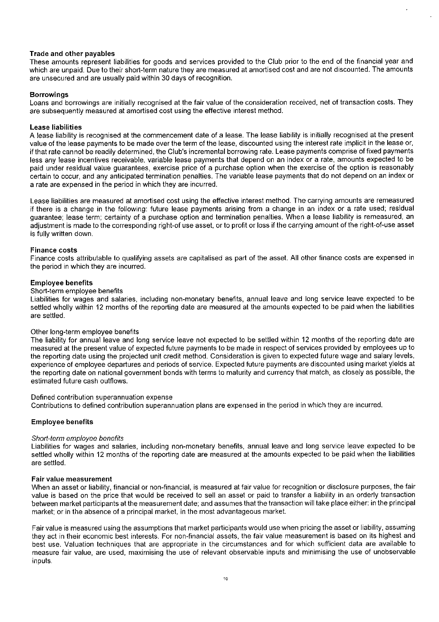#### **Trade and other pavables**

These amounts represent liabilities for goods and services provided to the Club prior to the end of the financial year and which are unpaid. Due to their short-term nature they are measured at amortised cost and are not discounted. The amounts are unsecured and are usually paid within 30 days of recognition.

#### **Borrowings**

Loans and borrowings are initially recognised at the fair value of the consideration received, net of transaction costs. They are subsequently measured at amortised cost using the effective interest method.

#### **Lease liabilities**

A lease liability is recognised at the commencement date of a lease. The lease liability is initially recognised at the present value of the lease payments to be made over the term of the lease, discounted using the interest rate implicit in the lease or, if that rate cannot be readily determined, the Club's incremental borrowing rate. Lease payments comprise of fixed payments less any lease incentives receivable, variable lease payments that depend on an index or a rate, amounts expected to be paid under residual value quarantees, exercise price of a purchase option when the exercise of the option is reasonably certain to occur, and any anticipated termination penalties. The variable lease payments that do not depend on an index or a rate are expensed in the period in which they are incurred.

Lease liabilities are measured at amortised cost using the effective interest method. The carrying amounts are remeasured if there is a change in the following: future lease payments arising from a change in an index or a rate used; residual quarantee; lease term; certainty of a purchase option and termination penalties. When a lease liability is remeasured, an adjustment is made to the corresponding right-of use asset, or to profit or loss if the carrying amount of the right-of-use asset is fully written down.

#### Finance costs

Finance costs attributable to qualifying assets are capitalised as part of the asset. All other finance costs are expensed in the period in which they are incurred.

#### **Employee benefits**

#### Short-term employee benefits

Liabilities for wages and salaries, including non-monetary benefits, annual leave and long service leave expected to be settled wholly within 12 months of the reporting date are measured at the amounts expected to be paid when the liabilities are settled.

#### Other long-term employee benefits

The liability for annual leave and long service leave not expected to be settled within 12 months of the reporting date are measured at the present value of expected future payments to be made in respect of services provided by employees up to the reporting date using the projected unit credit method. Consideration is given to expected future wage and salary levels, experience of employee departures and periods of service. Expected future payments are discounted using market yields at the reporting date on national government bonds with terms to maturity and currency that match, as closely as possible, the estimated future cash outflows.

#### Defined contribution superannuation expense

Contributions to defined contribution superannuation plans are expensed in the period in which they are incurred.

#### **Employee benefits**

#### Short-term employee benefits

Liabilities for wages and salaries, including non-monetary benefits, annual leave and long service leave expected to be settled wholly within 12 months of the reporting date are measured at the amounts expected to be paid when the liabilities are settled.

#### Fair value measurement

When an asset or liability, financial or non-financial, is measured at fair value for recognition or disclosure purposes, the fair value is based on the price that would be received to sell an asset or paid to transfer a liability in an orderly transaction between market participants at the measurement date; and assumes that the transaction will take place either: in the principal market; or in the absence of a principal market, in the most advantageous market.

Fair value is measured using the assumptions that market participants would use when pricing the asset or liability, assuming they act in their economic best interests. For non-financial assets, the fair value measurement is based on its highest and best use. Valuation techniques that are appropriate in the circumstances and for which sufficient data are available to measure fair value, are used, maximising the use of relevant observable inputs and minimising the use of unobservable inputs.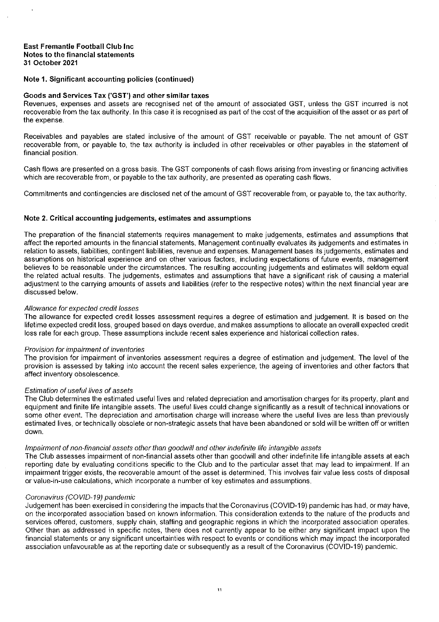#### Note 1. Significant accounting policies (continued)

#### Goods and Services Tax ('GST') and other similar taxes

Revenues, expenses and assets are recognised net of the amount of associated GST, unless the GST incurred is not recoverable from the tax authority. In this case it is recognised as part of the cost of the acquisition of the asset or as part of the expense.

Receivables and payables are stated inclusive of the amount of GST receivable or payable. The net amount of GST recoverable from, or payable to, the tax authority is included in other receivables or other payables in the statement of financial position.

Cash flows are presented on a gross basis. The GST components of cash flows arising from investing or financing activities which are recoverable from, or payable to the tax authority, are presented as operating cash flows.

Commitments and contingencies are disclosed net of the amount of GST recoverable from, or payable to, the tax authority.

#### Note 2. Critical accounting judgements, estimates and assumptions

The preparation of the financial statements requires management to make judgements, estimates and assumptions that affect the reported amounts in the financial statements. Management continually evaluates its judgements and estimates in relation to assets, liabilities, contingent liabilities, revenue and expenses. Management bases its judgements, estimates and assumptions on historical experience and on other various factors, including expectations of future events, management believes to be reasonable under the circumstances. The resulting accounting judgements and estimates will seldom equal the related actual results. The judgements, estimates and assumptions that have a significant risk of causing a material adjustment to the carrying amounts of assets and liabilities (refer to the respective notes) within the next financial year are discussed below.

#### Allowance for expected credit losses

The allowance for expected credit losses assessment requires a degree of estimation and judgement. It is based on the lifetime expected credit loss, grouped based on days overdue, and makes assumptions to allocate an overall expected credit loss rate for each group. These assumptions include recent sales experience and historical collection rates.

#### Provision for impairment of inventories

The provision for impairment of inventories assessment requires a degree of estimation and judgement. The level of the provision is assessed by taking into account the recent sales experience, the ageing of inventories and other factors that affect inventory obsolescence.

#### Estimation of useful lives of assets

The Club determines the estimated useful lives and related depreciation and amortisation charges for its property, plant and equipment and finite life intangible assets. The useful lives could change significantly as a result of technical innovations or some other event. The depreciation and amortisation charge will increase where the useful lives are less than previously estimated lives, or technically obsolete or non-strategic assets that have been abandoned or sold will be written off or written down.

#### Impairment of non-financial assets other than goodwill and other indefinite life intangible assets

The Club assesses impairment of non-financial assets other than goodwill and other indefinite life intangible assets at each reporting date by evaluating conditions specific to the Club and to the particular asset that may lead to impairment. If an impairment trigger exists, the recoverable amount of the asset is determined. This involves fair value less costs of disposal or value-in-use calculations, which incorporate a number of key estimates and assumptions.

#### Coronavirus (COVID-19) pandemic

Judgement has been exercised in considering the impacts that the Coronavirus (COVID-19) pandemic has had, or may have, on the incorporated association based on known information. This consideration extends to the nature of the products and services offered, customers, supply chain, staffing and geographic regions in which the incorporated association operates. Other than as addressed in specific notes, there does not currently appear to be either any significant impact upon the financial statements or any significant uncertainties with respect to events or conditions which may impact the incorporated association unfavourable as at the reporting date or subsequently as a result of the Coronavirus (COVID-19) pandemic.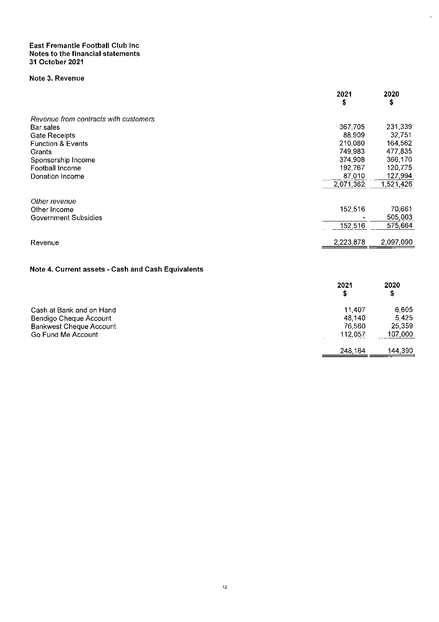## Note 3. Revenue

|                                       | 2021<br>s | 2020<br>\$ |
|---------------------------------------|-----------|------------|
| Revenue from contracts with customers |           |            |
| Bar sales                             | 367,705   | 231,339    |
| <b>Gate Receipts</b>                  | 88,909    | 32,751     |
| <b>Function &amp; Events</b>          | 210,080   | 164,562    |
| Grants                                | 749,983   | 477,835    |
| Sponsorship Income                    | 374,908   | 366,170    |
| Football Income                       | 192 767   | 120,775    |
| Donation Income                       | 87.010    | 127,994    |
|                                       | 2,071,362 | 1,521,426  |
| Other revenue                         |           |            |
| Other Income                          | 152,516   | 70,661     |
| <b>Government Subsidies</b>           |           | 505,003    |
|                                       | 152,516   | 575,664    |
| Revenue                               | 2,223,878 | 2,097,090  |

 $\cdot$ 

# Note 4. Current assets - Cash and Cash Equivalents

|                                | 2021<br>s | 2020<br>\$ |
|--------------------------------|-----------|------------|
| Cash at Bank and on Hand       | 11.407    | 6.605      |
| Bendigo Cheque Account         | 48,140    | 5.425      |
| <b>Bankwest Cheque Account</b> | 76.560    | 25,359     |
| Go Fund Me Account             | 112,057   | 107,000    |
|                                | 248.164   | 144,390    |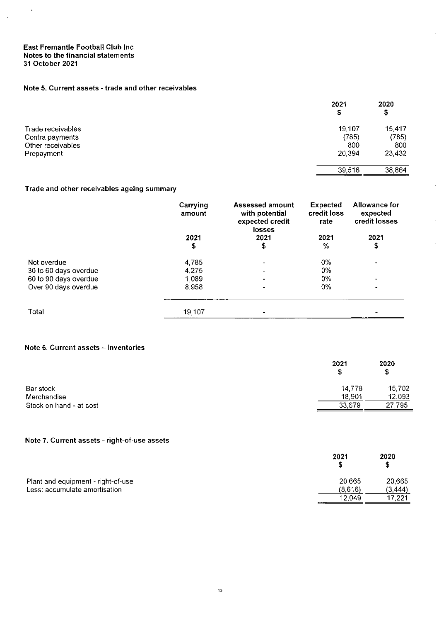$\bar{z}$ 

 $\bar{z}$ 

### Note 5. Current assets - trade and other receivables

|                   | 2021<br>S | 2020<br>\$ |
|-------------------|-----------|------------|
| Trade receivables | 19,107    | 15,417     |
| Contra payments   | (785)     | (785)      |
| Other receivables | 800       | 800        |
| Prepayment        | 20,394    | 23,432     |
|                   | 39,516    | 38,864     |

 $\hat{\mathcal{L}}$ 

 $\ddot{\phantom{a}}$ 

### Trade and other receivables ageing summary

|                       | Carrying<br>amount | <b>Assessed amount</b><br>with potential<br>expected credit<br><b>losses</b> | <b>Expected</b><br>credit loss<br>rate | Allowance for<br>expected<br>credit losses |
|-----------------------|--------------------|------------------------------------------------------------------------------|----------------------------------------|--------------------------------------------|
|                       | 2021               | 2021                                                                         | 2021                                   | 2021                                       |
|                       | \$                 | \$                                                                           | %                                      | \$                                         |
| Not overdue           | 4,785              |                                                                              | 0%                                     | ۰.                                         |
| 30 to 60 days overdue | 4,275              |                                                                              | 0%                                     |                                            |
| 60 to 90 days overdue | 1,089              |                                                                              | 0%                                     |                                            |
| Over 90 days overdue  | 8.958              |                                                                              | 0%                                     |                                            |
| Total                 | 19,107             |                                                                              |                                        |                                            |

### Note 6. Current assets - inventories

|                         | 2021<br>S | 2020<br>\$ |
|-------------------------|-----------|------------|
| Bar stock               | 14,778    | 15,702     |
| Merchandise             | 18,901    | 12,093     |
| Stock on hand - at cost | 33,679    | 27,795     |
|                         |           |            |

### Note 7. Current assets - right-of-use assets

|                                    | 2021    | 2020<br>S |
|------------------------------------|---------|-----------|
| Plant and equipment - right-of-use | 20,665  | 20,665    |
| Less: accumulate amortisation      | (8,616) | (3, 444)  |
|                                    | 12.049  | 17.221    |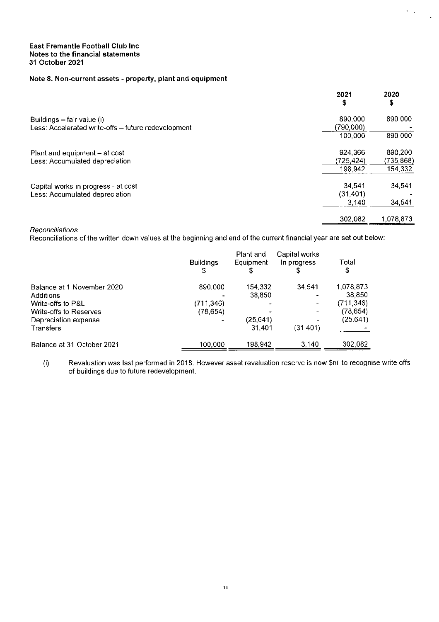### Note 8. Non-current assets - property, plant and equipment

|                                                     | 2021<br>\$ | 2020<br>\$ |
|-----------------------------------------------------|------------|------------|
| Buildings – fair value (i)                          | 890,000    | 890,000    |
| Less: Accelerated write-offs - future redevelopment | (790,000)  |            |
|                                                     | 100,000    | 890,000    |
| Plant and equipment - at cost                       | 924.366    | 890,200    |
| Less: Accumulated depreciation                      | (725,424)  | (735, 868) |
|                                                     | 198,942    | 154,332    |
| Capital works in progress - at cost                 | 34,541     | 34,541     |
| Less: Accumulated depreciation                      | (31,401)   |            |
|                                                     | 3,140      | 34,541     |
|                                                     | 302,082    | 1,078,873  |

 $\tilde{C}_{\rm{max}}$ 

Reconciliations

Reconciliations of the written down values at the beginning and end of the current financial year are set out below:

|                            | <b>Buildings</b><br>\$ | Plant and<br>Equipment<br>\$ | Capital works<br>In progress<br>5 | Total<br>\$ |
|----------------------------|------------------------|------------------------------|-----------------------------------|-------------|
| Balance at 1 November 2020 | 890,000                | 154,332                      | 34.541                            | 1,078,873   |
| Additions                  |                        | 38,850                       |                                   | 38,850      |
| Write-offs to P&L          | (711 346)              |                              |                                   | (711,346)   |
| Write-offs to Reserves     | (78, 654)              |                              |                                   | (78,654)    |
| Depreciation expense       |                        | (25, 641)                    |                                   | (25, 641)   |
| Transfers                  |                        | 31,401                       | (31.401)                          |             |
| Balance at 31 October 2021 | 100.000                | 198,942                      | 3.140                             | 302,082     |

Revaluation was last performed in 2018. However asset revaluation reserve is now \$nil to recognise write offs  $(i)$ of buildings due to future redevelopment.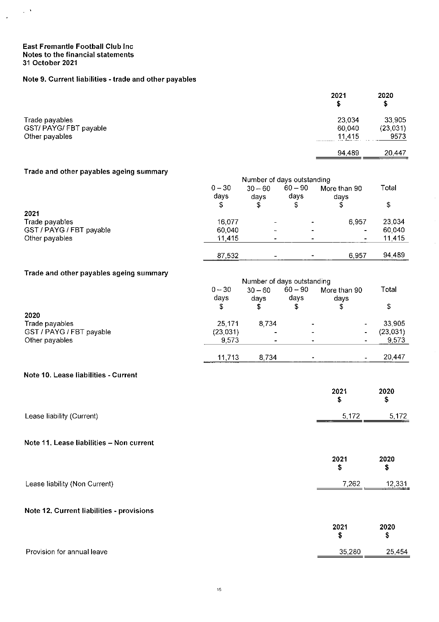$\sqrt{2}$ 

 $\mathcal{L}$ 

## Note 9. Current liabilities - trade and other payables

|                        | 2021   | 2020<br>S |
|------------------------|--------|-----------|
| Trade payables         | 23,034 | 33,905    |
| GST/ PAYG/ FBT payable | 60.040 | (23, 031) |
| Other payables         | 11.415 | 9573      |
|                        | 94.489 | 20.447    |

### Trade and other payables ageing summary

| made and Other payables ageing summary | Number of days outstanding |                   |                   |                      |          |
|----------------------------------------|----------------------------|-------------------|-------------------|----------------------|----------|
|                                        | $0 - 30$<br>davs           | $30 - 60$<br>davs | $60 - 90$<br>days | More than 90<br>days | Total    |
|                                        | \$                         | \$                | \$                |                      | \$       |
| 2021                                   |                            |                   |                   |                      |          |
| Trade payables                         | 16.077                     |                   |                   | 6,957                | 23 0 34  |
| GST / PAYG / FBT payable               | 60,040                     |                   |                   | $\blacksquare$       | 60.040   |
| Other payables                         | 11.415                     |                   |                   | $\blacksquare$       | 11.415   |
|                                        | 87,532                     |                   |                   | 6,957                | 94 4 8 9 |

J.

# Trade and other payables ageing summary

| -                        |                  | Number of days outstanding |                          |                      |           |
|--------------------------|------------------|----------------------------|--------------------------|----------------------|-----------|
|                          | $0 - 30$<br>days | $30 - 60$<br>davs          | $60 - 90$<br>days        | More than 90<br>davs | Total     |
|                          | \$               |                            | S                        |                      | \$        |
| 2020                     |                  |                            |                          |                      |           |
| Trade payables           | 25.171           | 8 7 3 4                    |                          | $\blacksquare$       | 33.905    |
| GST / PAYG / FBT payable | (23.031)         | $\blacksquare$             |                          | $\blacksquare$       | (23, 031) |
| Other payables           | 9.573            | $\overline{\phantom{a}}$   | $\overline{\phantom{0}}$ | $\blacksquare$       | 9,573     |
|                          |                  |                            |                          |                      |           |
|                          | 11,713           | 8 7 3 4                    |                          | $\blacksquare$       | 20.447    |

### Note 10. Lease liabilities - Current

|                                           | 2021<br>\$ | 2020<br>\$ |
|-------------------------------------------|------------|------------|
| Lease liability (Current)                 | 5,172      | 5,172      |
| Note 11. Lease liabilities - Non current  |            |            |
|                                           | 2021<br>\$ | 2020<br>\$ |
| Lease liability (Non Current)             | 7,262      | 12,331     |
| Note 12. Current liabilities - provisions |            |            |
|                                           | 2021<br>\$ | 2020<br>\$ |
| Provision for annual leave                | 35,280     | 25,454     |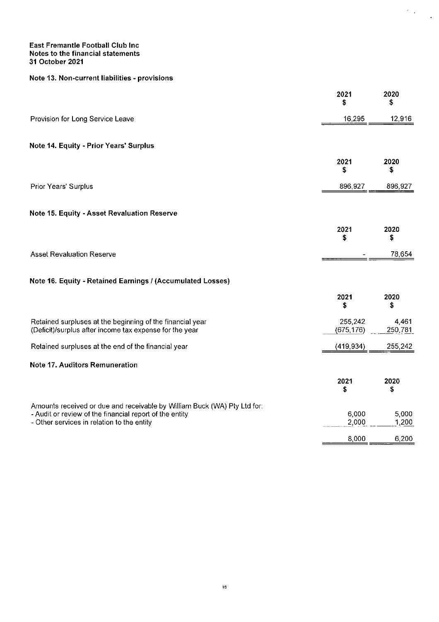### Note 13. Non-current liabilities - provisions

|                                                                                                                                                                                   | 2021<br>S             | 2020<br>S        |
|-----------------------------------------------------------------------------------------------------------------------------------------------------------------------------------|-----------------------|------------------|
| Provision for Long Service Leave                                                                                                                                                  | 16,295                | 12,916           |
| Note 14. Equity - Prior Years' Surplus                                                                                                                                            |                       |                  |
|                                                                                                                                                                                   | 2021<br>\$            | 2020<br>S        |
| Prior Years' Surplus                                                                                                                                                              | 896,927               | 896,927          |
| Note 15. Equity - Asset Revaluation Reserve                                                                                                                                       |                       |                  |
|                                                                                                                                                                                   | 2021<br>\$            | 2020<br>\$       |
| <b>Asset Revaluation Reserve</b>                                                                                                                                                  |                       | 78,654           |
| Note 16. Equity - Retained Earnings / (Accumulated Losses)                                                                                                                        |                       |                  |
|                                                                                                                                                                                   | 2021<br>\$            | 2020<br>\$       |
| Retained surpluses at the beginning of the financial year<br>(Deficit)/surplus after income tax expense for the year                                                              | 255,242<br>(675, 176) | 4,461<br>250,781 |
| Retained surpluses at the end of the financial year                                                                                                                               | (419, 934)            | 255,242          |
| <b>Note 17. Auditors Remuneration</b>                                                                                                                                             |                       |                  |
|                                                                                                                                                                                   | 2021<br>\$            | 2020<br>\$       |
| Amounts received or due and receivable by William Buck (WA) Pty Ltd for:<br>- Audit or review of the financial report of the entity<br>- Other services in relation to the entity | 6,000<br>2,000        | 5,000<br>1,200   |
|                                                                                                                                                                                   | 8,000                 | 6,200            |

 $\label{eq:2} \begin{split} \mathcal{L}_{\text{max}}(\mathcal{L}_{\text{max}}) = \mathcal{L}_{\text{max}}(\mathcal{L}_{\text{max}}) \end{split}$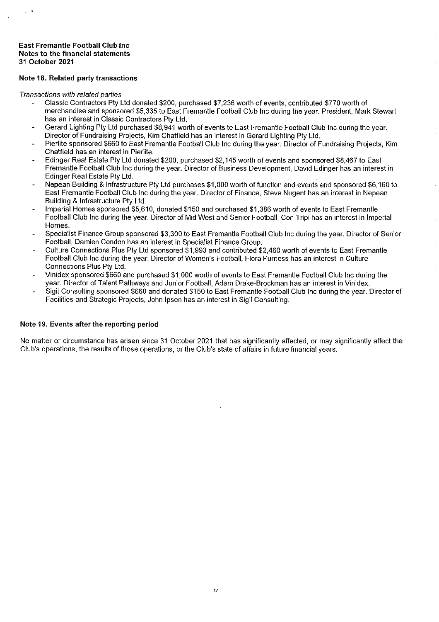#### Note 18. Related party transactions

#### Transactions with related parties

- Classic Contractors Pty Ltd donated \$200, purchased \$7,236 worth of events, contributed \$770 worth of merchandise and sponsored \$5,335 to East Fremantle Football Club Inc during the year. President, Mark Stewart has an interest in Classic Contractors Pty Ltd.
- Gerard Lighting Pty Ltd purchased \$8.941 worth of events to East Fremantle Football Club Inc during the year Director of Fundraising Projects. Kim Chatfield has an interest in Gerard Lighting Pty Ltd.
- Pierlite sponsored \$660 to East Fremantle Football Club Inc during the year. Director of Fundraising Projects, Kim Chatfield has an interest in Pierlite.
- Edinger Real Estate Pty Ltd donated \$200, purchased \$2,145 worth of events and sponsored \$8,467 to East Fremantle Football Club Inc during the year. Director of Business Development, David Edinger has an interest in Edinger Real Estate Pty Ltd.
- Nepean Building & Infrastructure Pty Ltd purchases \$1,000 worth of function and events and sponsored \$6,160 to East Fremantle Football Club Inc during the year. Director of Finance, Steve Nugent has an interest in Nepean Building & Infrastructure Pty Ltd.
- Imperial Homes sponsored \$5,610, donated \$150 and purchased \$1,386 worth of events to East Fremantle Football Club Inc during the year. Director of Mid West and Senior Football. Con Tripi has an interest in Imperial **Homes**
- Specialist Finance Group sponsored \$3.300 to East Fremantle Football Club Inc during the year. Director of Senior Football, Damien Condon has an interest in Specialist Finance Group.
- Culture Connections Plus Pty Ltd sponsored \$1,993 and contributed \$2,460 worth of events to East Fremantle Football Club Inc during the year. Director of Women's Football, Flora Furness has an interest in Culture Connections Plus Pty Ltd.
- Vinidex sponsored \$660 and purchased \$1,000 worth of events to East Fremantle Football Club Inc during the year. Director of Talent Pathways and Junior Football, Adam Drake-Brockman has an interest in Vinidex.
- Sigil Consulting sponsored \$660 and donated \$150 to East Fremantle Football Club Inc during the year. Director of Facilities and Strategic Projects, John Ipsen has an interest in Sigil Consulting.

#### Note 19. Events after the reporting period

No matter or circumstance has arisen since 31 October 2021 that has significantly affected, or may significantly affect the Club's operations, the results of those operations, or the Club's state of affairs in future financial years.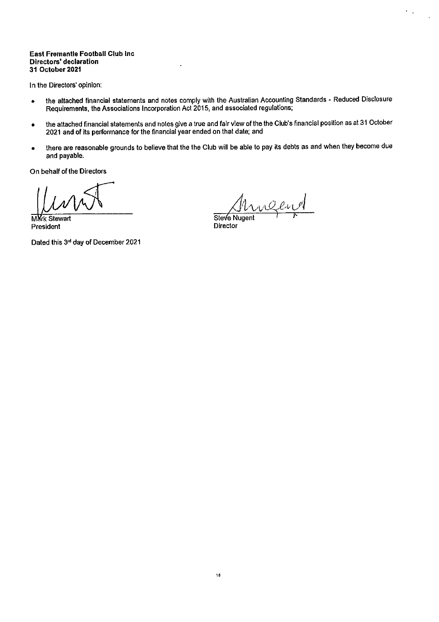#### **East Fremantle Football Club Inc.** Directors' declaration 31 October 2021

In the Directors' opinion:

- the attached financial statements and notes comply with the Australian Accounting Standards Reduced Disclosure  $\bullet$ Requirements, the Associations Incorporation Act 2015, and associated regulations;
- the attached financial statements and notes give a true and fair view of the the Club's financial position as at 31 October  $\bullet$ 2021 and of its performance for the financial year ended on that date; and
- there are reasonable grounds to believe that the the Club will be able to pay its debts as and when they become due  $\bullet$ and payable.

On behalf of the Directors

**Mark Stewart** President

Dated this 3rd day of December 2021

ween

 $\epsilon_{\rm eff}$ 

Steve Nugent Director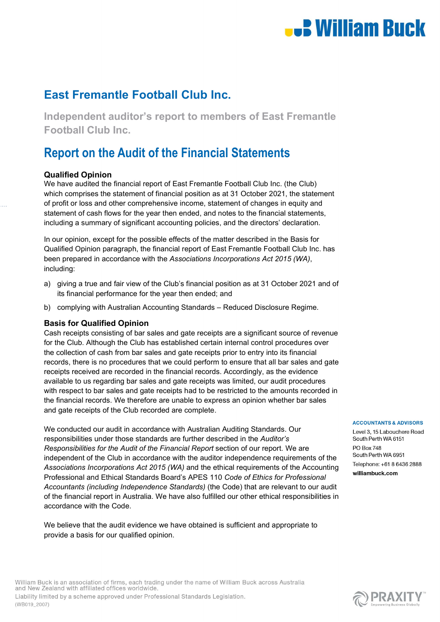# **U.S. William Buck**

# East Fremantle Football Club Inc.

Independent auditor's report to members of East Fremantle Football Club Inc.

# Report on the Audit of the Financial Statements

# Qualified Opinion

We have audited the financial report of East Fremantle Football Club Inc. (the Club) which comprises the statement of financial position as at 31 October 2021, the statement of profit or loss and other comprehensive income, statement of changes in equity and statement of cash flows for the year then ended, and notes to the financial statements, including a summary of significant accounting policies, and the directors' declaration.

In our opinion, except for the possible effects of the matter described in the Basis for Qualified Opinion paragraph, the financial report of East Fremantle Football Club Inc. has been prepared in accordance with the Associations Incorporations Act 2015 (WA), including:

- a) giving a true and fair view of the Club's financial position as at 31 October 2021 and of its financial performance for the year then ended; and
- b) complying with Australian Accounting Standards Reduced Disclosure Regime.

# Basis for Qualified Opinion

Cash receipts consisting of bar sales and gate receipts are a significant source of revenue for the Club. Although the Club has established certain internal control procedures over the collection of cash from bar sales and gate receipts prior to entry into its financial records, there is no procedures that we could perform to ensure that all bar sales and gate receipts received are recorded in the financial records. Accordingly, as the evidence available to us regarding bar sales and gate receipts was limited, our audit procedures with respect to bar sales and gate receipts had to be restricted to the amounts recorded in the financial records. We therefore are unable to express an opinion whether bar sales and gate receipts of the Club recorded are complete.

We conducted our audit in accordance with Australian Auditing Standards. Our responsibilities under those standards are further described in the Auditor's Responsibilities for the Audit of the Financial Report section of our report. We are independent of the Club in accordance with the auditor independence requirements of the Associations Incorporations Act 2015 (WA) and the ethical requirements of the Accounting Professional and Ethical Standards Board's APES 110 Code of Ethics for Professional Accountants (including Independence Standards) (the Code) that are relevant to our audit of the financial report in Australia. We have also fulfilled our other ethical responsibilities in accordance with the Code.

We believe that the audit evidence we have obtained is sufficient and appropriate to provide a basis for our qualified opinion.

#### **ACCOUNTANTS & ADVISORS**

Level 3, 15 Labouchere Road South Perth WA 6151 **PO Box 748** South Perth WA 6951 Telephone: +61 8 6436 2888 williambuck.com

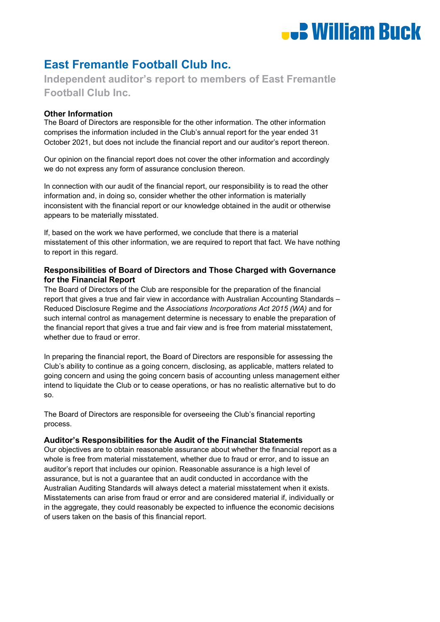# **.: William Buck**

# East Fremantle Football Club Inc.

Independent auditor's report to members of East Fremantle Football Club Inc.

# Other Information

The Board of Directors are responsible for the other information. The other information comprises the information included in the Club's annual report for the year ended 31 October 2021, but does not include the financial report and our auditor's report thereon.

Our opinion on the financial report does not cover the other information and accordingly we do not express any form of assurance conclusion thereon.

In connection with our audit of the financial report, our responsibility is to read the other information and, in doing so, consider whether the other information is materially inconsistent with the financial report or our knowledge obtained in the audit or otherwise appears to be materially misstated.

If, based on the work we have performed, we conclude that there is a material misstatement of this other information, we are required to report that fact. We have nothing to report in this regard.

# Responsibilities of Board of Directors and Those Charged with Governance for the Financial Report

The Board of Directors of the Club are responsible for the preparation of the financial report that gives a true and fair view in accordance with Australian Accounting Standards – Reduced Disclosure Regime and the Associations Incorporations Act 2015 (WA) and for such internal control as management determine is necessary to enable the preparation of the financial report that gives a true and fair view and is free from material misstatement, whether due to fraud or error.

In preparing the financial report, the Board of Directors are responsible for assessing the Club's ability to continue as a going concern, disclosing, as applicable, matters related to going concern and using the going concern basis of accounting unless management either intend to liquidate the Club or to cease operations, or has no realistic alternative but to do so.

The Board of Directors are responsible for overseeing the Club's financial reporting process.

# Auditor's Responsibilities for the Audit of the Financial Statements

Our objectives are to obtain reasonable assurance about whether the financial report as a whole is free from material misstatement, whether due to fraud or error, and to issue an auditor's report that includes our opinion. Reasonable assurance is a high level of assurance, but is not a guarantee that an audit conducted in accordance with the Australian Auditing Standards will always detect a material misstatement when it exists. Misstatements can arise from fraud or error and are considered material if, individually or in the aggregate, they could reasonably be expected to influence the economic decisions of users taken on the basis of this financial report.